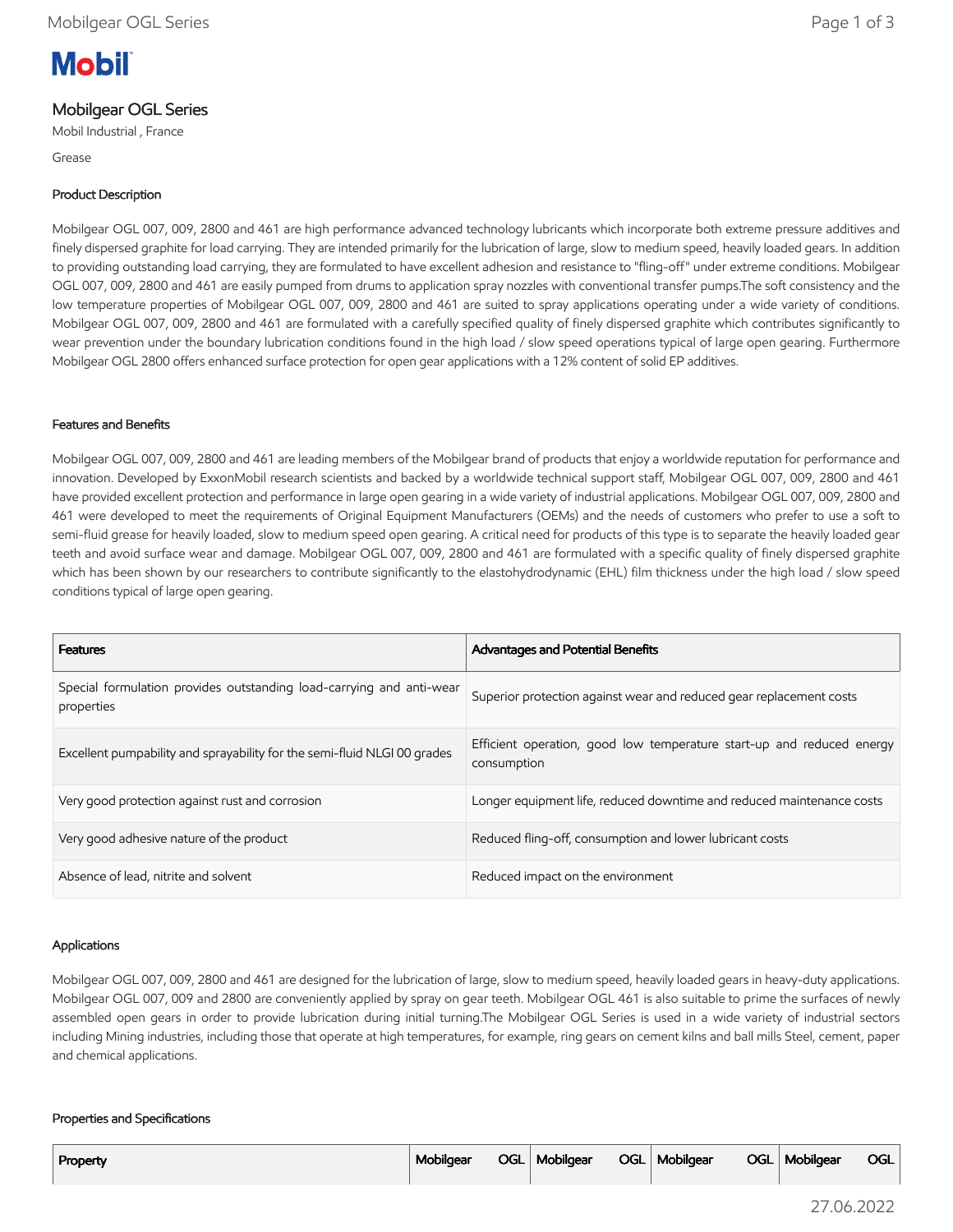# **Mobil**

# Mobilgear OGL Series

Mobil Industrial , France

Grease

## Product Description

Mobilgear OGL 007, 009, 2800 and 461 are high performance advanced technology lubricants which incorporate both extreme pressure additives and finely dispersed graphite for load carrying. They are intended primarily for the lubrication of large, slow to medium speed, heavily loaded gears. In addition to providing outstanding load carrying, they are formulated to have excellent adhesion and resistance to "fling-off" under extreme conditions. Mobilgear OGL 007, 009, 2800 and 461 are easily pumped from drums to application spray nozzles with conventional transfer pumps.The soft consistency and the low temperature properties of Mobilgear OGL 007, 009, 2800 and 461 are suited to spray applications operating under a wide variety of conditions. Mobilgear OGL 007, 009, 2800 and 461 are formulated with a carefully specified quality of finely dispersed graphite which contributes significantly to wear prevention under the boundary lubrication conditions found in the high load / slow speed operations typical of large open gearing. Furthermore Mobilgear OGL 2800 offers enhanced surface protection for open gear applications with a 12% content of solid EP additives.

## Features and Benefits

Mobilgear OGL 007, 009, 2800 and 461 are leading members of the Mobilgear brand of products that enjoy a worldwide reputation for performance and innovation. Developed by ExxonMobil research scientists and backed by a worldwide technical support staff, Mobilgear OGL 007, 009, 2800 and 461 have provided excellent protection and performance in large open gearing in a wide variety of industrial applications. Mobilgear OGL 007, 009, 2800 and 461 were developed to meet the requirements of Original Equipment Manufacturers (OEMs) and the needs of customers who prefer to use a soft to semi-fluid grease for heavily loaded, slow to medium speed open gearing. A critical need for products of this type is to separate the heavily loaded gear teeth and avoid surface wear and damage. Mobilgear OGL 007, 009, 2800 and 461 are formulated with a specific quality of finely dispersed graphite which has been shown by our researchers to contribute significantly to the elastohydrodynamic (EHL) film thickness under the high load / slow speed conditions typical of large open gearing.

| <b>Features</b>                                                                    | <b>Advantages and Potential Benefits</b>                                             |
|------------------------------------------------------------------------------------|--------------------------------------------------------------------------------------|
| Special formulation provides outstanding load-carrying and anti-wear<br>properties | Superior protection against wear and reduced gear replacement costs                  |
| Excellent pumpability and sprayability for the semi-fluid NLGI 00 grades           | Efficient operation, good low temperature start-up and reduced energy<br>consumption |
| Very good protection against rust and corrosion                                    | Longer equipment life, reduced downtime and reduced maintenance costs                |
| Very good adhesive nature of the product                                           | Reduced fling-off, consumption and lower lubricant costs                             |
| Absence of lead, nitrite and solvent                                               | Reduced impact on the environment                                                    |

## Applications

Mobilgear OGL 007, 009, 2800 and 461 are designed for the lubrication of large, slow to medium speed, heavily loaded gears in heavy-duty applications. Mobilgear OGL 007, 009 and 2800 are conveniently applied by spray on gear teeth. Mobilgear OGL 461 is also suitable to prime the surfaces of newly assembled open gears in order to provide lubrication during initial turning.The Mobilgear OGL Series is used in a wide variety of industrial sectors including Mining industries, including those that operate at high temperatures, for example, ring gears on cement kilns and ball mills Steel, cement, paper and chemical applications.

#### Properties and Specifications

| Property | Mobilgear | OGL   Mobilgear |  | OGL   Mobilgear |  | OGL   Mobilgear | OGL |
|----------|-----------|-----------------|--|-----------------|--|-----------------|-----|
|----------|-----------|-----------------|--|-----------------|--|-----------------|-----|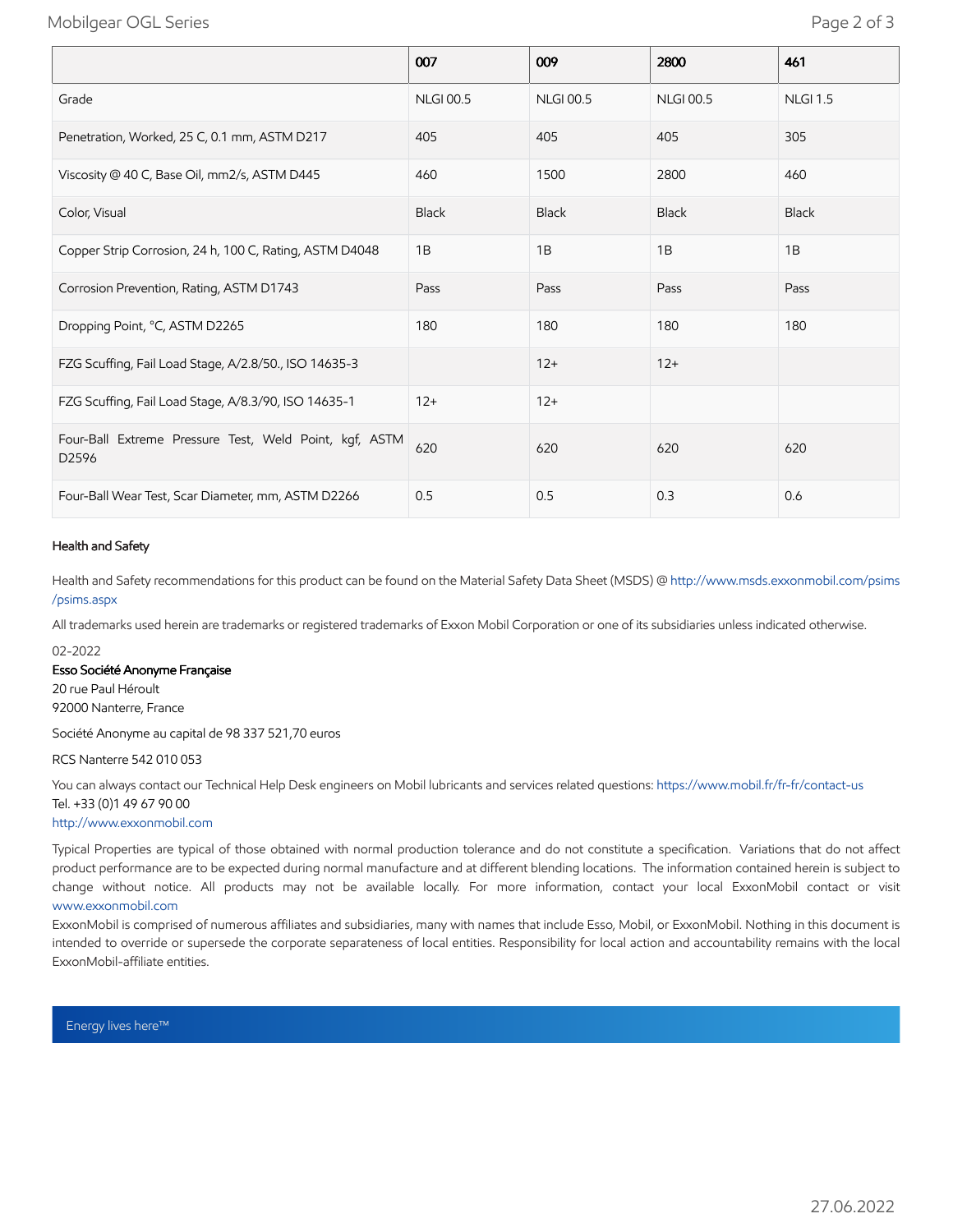## Mobilgear OGL Series Page 2 of 3

|                                                                 | 007              | 009              | 2800             | 461             |
|-----------------------------------------------------------------|------------------|------------------|------------------|-----------------|
| Grade                                                           | <b>NLGI 00.5</b> | <b>NLGI 00.5</b> | <b>NLGI 00.5</b> | <b>NLGI 1.5</b> |
| Penetration, Worked, 25 C, 0.1 mm, ASTM D217                    | 405              | 405              | 405              | 305             |
| Viscosity @ 40 C, Base Oil, mm2/s, ASTM D445                    | 460              | 1500             | 2800             | 460             |
| Color, Visual                                                   | <b>Black</b>     | <b>Black</b>     | <b>Black</b>     | <b>Black</b>    |
| Copper Strip Corrosion, 24 h, 100 C, Rating, ASTM D4048         | 1B               | 1B               | 1B               | 1B              |
| Corrosion Prevention, Rating, ASTM D1743                        | Pass             | Pass             | Pass             | Pass            |
| Dropping Point, °C, ASTM D2265                                  | 180              | 180              | 180              | 180             |
| FZG Scuffing, Fail Load Stage, A/2.8/50., ISO 14635-3           |                  | $12+$            | $12+$            |                 |
| FZG Scuffing, Fail Load Stage, A/8.3/90, ISO 14635-1            | $12+$            | $12+$            |                  |                 |
| Four-Ball Extreme Pressure Test, Weld Point, kgf, ASTM<br>D2596 | 620              | 620              | 620              | 620             |
| Four-Ball Wear Test, Scar Diameter, mm, ASTM D2266              | 0.5              | 0.5              | 0.3              | 0.6             |

#### Health and Safety

Health and Safety recommendations for this product can be found on the Material Safety Data Sheet (MSDS) @ [http://www.msds.exxonmobil.com/psims](http://www.msds.exxonmobil.com/psims/psims.aspx) /psims.aspx

All trademarks used herein are trademarks or registered trademarks of Exxon Mobil Corporation or one of its subsidiaries unless indicated otherwise.

#### 02-2022

Esso Société Anonyme Française

20 rue Paul Héroult 92000 Nanterre, France

Société Anonyme au capital de 98 337 521,70 euros

RCS Nanterre 542 010 053

You can always contact our Technical Help Desk engineers on Mobil lubricants and services related questions:<https://www.mobil.fr/fr-fr/contact-us> Tel. +33 (0)1 49 67 90 00

[http://www.exxonmobil.com](http://www.exxonmobil.com/)

Typical Properties are typical of those obtained with normal production tolerance and do not constitute a specification. Variations that do not affect product performance are to be expected during normal manufacture and at different blending locations. The information contained herein is subject to change without notice. All products may not be available locally. For more information, contact your local ExxonMobil contact or visit [www.exxonmobil.com](http://www.exxonmobil.com/)

ExxonMobil is comprised of numerous affiliates and subsidiaries, many with names that include Esso, Mobil, or ExxonMobil. Nothing in this document is intended to override or supersede the corporate separateness of local entities. Responsibility for local action and accountability remains with the local ExxonMobil-affiliate entities.